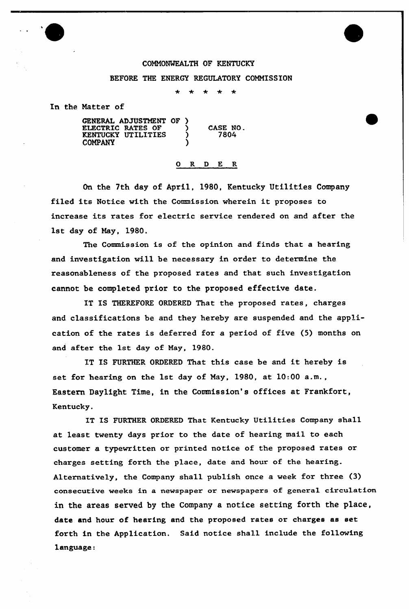## COMMONWEALTH OF KENTUCKY

## BEFORE THE ENERGY REGULATORY COMMISSION

 $\ddot{\textbf{x}}$ 

In the Natter of

| GENERAL ADJUSTMENT OF )<br><b>ELECTRIC RATES OF</b><br><b>KENTUCKY UTILITIES</b><br><b>COMPANY</b> | CASE NO.<br>7804 |
|----------------------------------------------------------------------------------------------------|------------------|
|                                                                                                    |                  |

## R D E R 0.

On the 7th day of April, 1980, Kentucky Uti1ities Company filed its Notice with the Commission wherein it proposes to increase its rates for electric service rendered on and after the 1st day of Nay, 1980.

The Commission is of the opinion and finds that a hearing and investigation will be necessary in order to determine the reasonableness of the proposed rates and that such investigation cannot be completed prior to the proposed effective date.

IT IS THEREFORE ORDERED That the proposed rates, charges and classifications be and they hereby are suspended and the application of the rates is deferred for a period of five (5) months on and after the 1st day of May, 1980.

IT IS FURTHER ORDERED That this case be and it hereby is set for hearing on the 1st day of May, 1980, at 10.00 a.m., Eastern Daylight Time, in the Commission's offices at Frankfort, Kentucky.

IT IS FURTHER ORDERED That Kentucky Utilities Company shall at least twenty days prior to the date of hearing mail to each customer a typewritten or printed notice of the proposed rates or charges setting forth the place, date and hour of the hearing. Alternatively, the Company shall publish once a week for three (3) consecutive weeks in a newspaper or newspapers of general circulation in the areas served by the Company a notice setting forth the place, date and hour of hearing and the proposed rates or charges as set forth in the Application. Said notice shall include the following language: